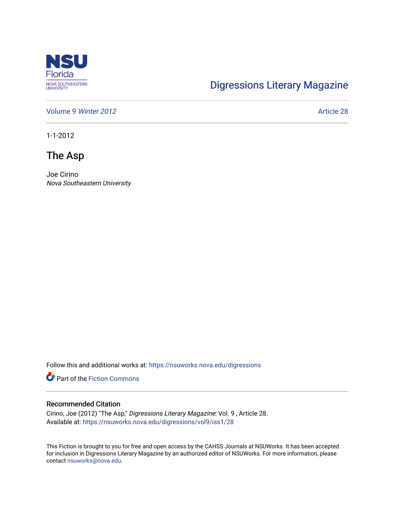

## [Digressions Literary Magazine](https://nsuworks.nova.edu/digressions)

[Volume 9](https://nsuworks.nova.edu/digressions/vol9) Winter 2012 **Article 28** 

1-1-2012

The Asp

Joe Cirino Nova Southeastern University

Follow this and additional works at: [https://nsuworks.nova.edu/digressions](https://nsuworks.nova.edu/digressions?utm_source=nsuworks.nova.edu%2Fdigressions%2Fvol9%2Fiss1%2F28&utm_medium=PDF&utm_campaign=PDFCoverPages) 

**Part of the Fiction Commons** 

## Recommended Citation

Cirino, Joe (2012) "The Asp," Digressions Literary Magazine: Vol. 9 , Article 28. Available at: [https://nsuworks.nova.edu/digressions/vol9/iss1/28](https://nsuworks.nova.edu/digressions/vol9/iss1/28?utm_source=nsuworks.nova.edu%2Fdigressions%2Fvol9%2Fiss1%2F28&utm_medium=PDF&utm_campaign=PDFCoverPages) 

This Fiction is brought to you for free and open access by the CAHSS Journals at NSUWorks. It has been accepted for inclusion in Digressions Literary Magazine by an authorized editor of NSUWorks. For more information, please contact [nsuworks@nova.edu.](mailto:nsuworks@nova.edu)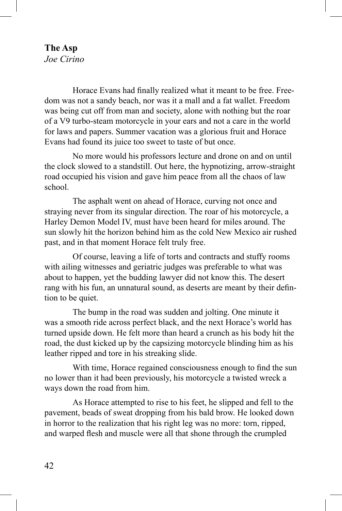## **The Asp** *Joe Cirino*

Horace Evans had finally realized what it meant to be free. Freedom was not a sandy beach, nor was it a mall and a fat wallet. Freedom was being cut off from man and society, alone with nothing but the roar of a V9 turbo-steam motorcycle in your ears and not a care in the world for laws and papers. Summer vacation was a glorious fruit and Horace Evans had found its juice too sweet to taste of but once.

No more would his professors lecture and drone on and on until the clock slowed to a standstill. Out here, the hypnotizing, arrow-straight road occupied his vision and gave him peace from all the chaos of law school.

The asphalt went on ahead of Horace, curving not once and straying never from its singular direction. The roar of his motorcycle, a Harley Demon Model IV, must have been heard for miles around. The sun slowly hit the horizon behind him as the cold New Mexico air rushed past, and in that moment Horace felt truly free.

Of course, leaving a life of torts and contracts and stuffy rooms with ailing witnesses and geriatric judges was preferable to what was about to happen, yet the budding lawyer did not know this. The desert rang with his fun, an unnatural sound, as deserts are meant by their defintion to be quiet.

The bump in the road was sudden and jolting. One minute it was a smooth ride across perfect black, and the next Horace's world has turned upside down. He felt more than heard a crunch as his body hit the road, the dust kicked up by the capsizing motorcycle blinding him as his leather ripped and tore in his streaking slide.

With time, Horace regained consciousness enough to find the sun no lower than it had been previously, his motorcycle a twisted wreck a ways down the road from him.

As Horace attempted to rise to his feet, he slipped and fell to the pavement, beads of sweat dropping from his bald brow. He looked down in horror to the realization that his right leg was no more: torn, ripped, and warped flesh and muscle were all that shone through the crumpled